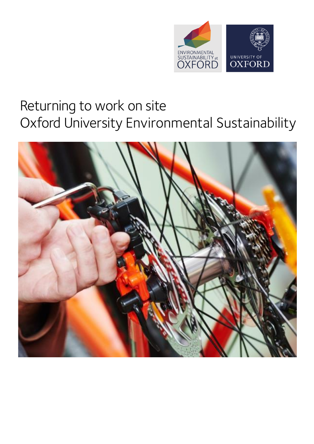

# Returning to work on site Oxford University Environmental Sustainability

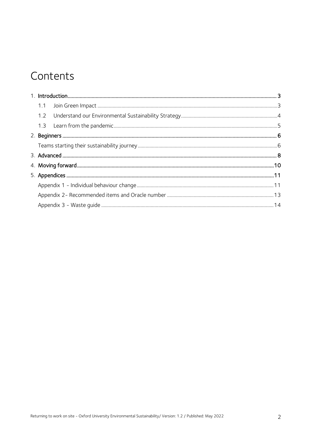# Contents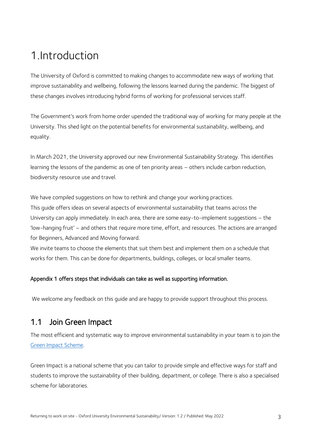# <span id="page-2-0"></span>1.Introduction

The University of Oxford is committed to making changes to accommodate new ways of working that improve sustainability and wellbeing, following the lessons learned during the pandemic. The biggest of these changes involves introducing hybrid forms of working for professional services staff.

The Government's work from home order upended the traditional way of working for many people at the University. This shed light on the potential benefits for environmental sustainability, wellbeing, and equality.

In March 2021, the University approved our new Environmental Sustainability Strategy. This identifies learning the lessons of the pandemic as one of ten priority areas – others include carbon reduction, biodiversity resource use and travel.

We have compiled suggestions on how to rethink and change your working practices.

This guide offers ideas on several aspects of environmental sustainability that teams across the University can apply immediately. In each area, there are some easy-to-implement suggestions – the 'low-hanging fruit' – and others that require more time, effort, and resources. The actions are arranged for Beginners, Advanced and Moving forward.

We invite teams to choose the elements that suit them best and implement them on a schedule that works for them. This can be done for departments, buildings, colleges, or local smaller teams.

#### Appendix 1 offers steps that individuals can take as well as supporting information.

We welcome any feedback on this guide and are happy to provide support throughout this process.

### <span id="page-2-1"></span>1.1 Join Green Impact

The most efficient and systematic way to improve environmental sustainability in your team is to join the [Green Impact Scheme.](https://sustainability.admin.ox.ac.uk/green-impact)

Green Impact is a national scheme that you can tailor to provide simple and effective ways for staff and students to improve the sustainability of their building, department, or college. There is also a specialised scheme for laboratories.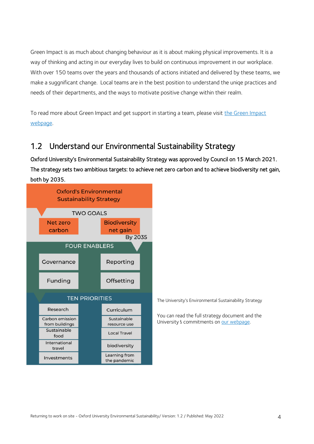Green Impact is as much about changing behaviour as it is about making physical improvements. It is a way of thinking and acting in our everyday lives to build on continuous improvement in our workplace. With over 150 teams over the years and thousands of actions initiated and delivered by these teams, we make a suggnificant change. Local teams are in the best position to understand the uniqe practices and needs of their departments, and the ways to motivate positive change within their realm.

To read more about Green Impact and get support in starting a team, please visit [the Green Impact](https://sustainability.admin.ox.ac.uk/green-impact)  [webpage.](https://sustainability.admin.ox.ac.uk/green-impact)

### <span id="page-3-0"></span>1.2 Understand our Environmental Sustainability Strategy

Oxford University's Environmental Sustainability Strategy was approved by Council on 15 March 2021. The strategy sets two ambitious targets: to achieve net zero carbon and to achieve biodiversity net gain, both by 2035.



The University's Environmental Sustainability Strategy

You can read the full strategy document and the University's commitments o[n our webpage.](https://sustainability.admin.ox.ac.uk/environmental-sustainability-strategy)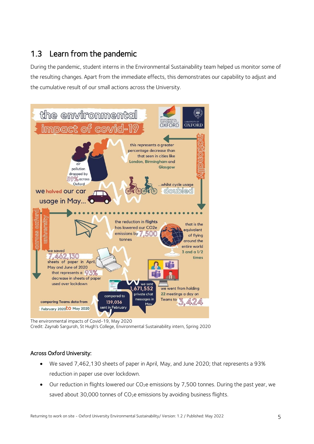### <span id="page-4-0"></span>1.3 Learn from the pandemic

During the pandemic, student interns in the Environmental Sustainability team helped us monitor some of the resulting changes. Apart from the immediate effects, this demonstrates our capability to adjust and the cumulative result of our small actions across the University.



The environmental impacts of Covid-19, May 2020 Credit: Zaynab Sarguroh, St Hugh's College, Environmental Sustainability intern, Spring 2020

### Across Oxford University:

- We saved 7,462,130 sheets of paper in April, May, and June 2020; that represents a 93% reduction in paper use over lockdown.
- $\bullet$  Our reduction in flights lowered our CO<sub>2</sub>e emissions by 7,500 tonnes. During the past year, we saved about 30,000 tonnes of CO<sub>2</sub>e emissions by avoiding business flights.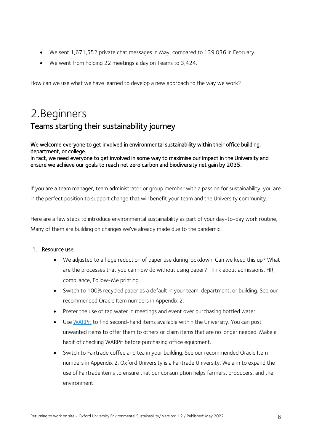- We sent 1,671,552 private chat messages in May, compared to 139,036 in February.
- We went from holding 22 meetings a day on Teams to 3,424.

How can we use what we have learned to develop a new approach to the way we work?

# <span id="page-5-1"></span><span id="page-5-0"></span>2.Beginners Teams starting their sustainability journey

We welcome everyone to get involved in environmental sustainability within their office building, department, or college. In fact, we need everyone to get involved in some way to maximise our impact in the University and ensure we achieve our goals to reach net zero carbon and biodiversity net gain by 2035.

If you are a team manager, team administrator or group member with a passion for sustainability, you are in the perfect position to support change that will benefit your team and the University community.

Here are a few steps to introduce environmental sustainability as part of your day-to-day work routine, Many of them are building on changes we've already made due to the pandemic:

#### 1. Resource use:

- We adjusted to a huge reduction of paper use during lockdown. Can we keep this up? What are the processes that you can now do without using paper? Think about admissions, HR, compliance, Follow-Me printing.
- Switch to 100% recycled paper as a default in your team, department, or building. See our recommended Oracle Item numbers in Appendix 2.
- Prefer the use of tap water in meetings and event over purchasing bottled water.
- Use [WARPit](https://sustainability.admin.ox.ac.uk/warpit/reuse) to find second-hand items available within the University. You can post unwanted items to offer them to others or claim items that are no longer needed. Make a habit of checking WARPit before purchasing office equipment.
- Switch to [Fairtrade coffee and tea](https://sustainability.admin.ox.ac.uk/sustainable-food#collapse951626) in your building. See our recommended Oracle Item numbers in Appendix 2. Oxford University is a Fairtrade University. We aim to expand the use of Fairtrade items to ensure that our consumption helps farmers, producers, and the environment.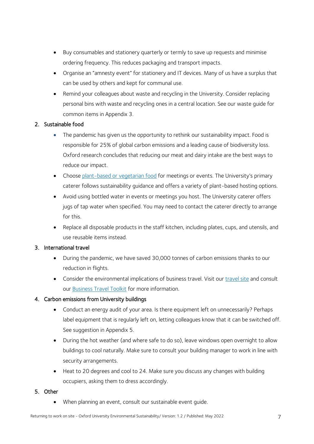- Buy consumables and stationery quarterly or termly to save up requests and minimise ordering frequency. This reduces packaging and transport impacts.
- Organise an "amnesty event" for stationery and IT devices. Many of us have a surplus that can be used by others and kept for communal use.
- Remind your colleagues about waste and recycling in the University. Consider replacing personal bins with waste and recycling ones in a central location. See our waste guide for common items in Appendix 3.

#### 2. Sustainable food

- The pandemic has given us the opportunity to rethink our sustainability impact. Food is responsible for 25% of global carbon emissions and a leading cause of biodiversity loss. Oxford research concludes that reducing our meat and dairy intake are the best ways to reduce our impact.
- Choose [plant-based or vegetarian food](https://estates.admin.ox.ac.uk/files/hospitalitymenu.pdf) for meetings or events. The University's primary caterer follows [sustainability guidance](https://estates.admin.ox.ac.uk/sustainable-catering) and offers a variety of plant-based hosting options.
- Avoid using bottled water in events or meetings you host. The University caterer offers jugs of tap water when specified. You may need to contact the caterer directly to arrange for this.
- Replace all disposable products in the staff kitchen, including plates, cups, and utensils, and use reusable items instead.

#### 3. International travel

- During the pandemic, we have saved 30,000 tonnes of carbon emissions thanks to our reduction in flights.
- Consider the environmental implications of business travel. Visit our *travel site* and consult our [Business Travel Toolkit](https://travel.admin.ox.ac.uk/files/business-travel-toolkit-2020.pdf) for more information.

### 4. Carbon emissions from University buildings

- Conduct an energy audit of your area. Is there equipment left on unnecessarily? Perhaps label equipment that is regularly left on, letting colleagues know that it can be switched off. See suggestion in Appendix 5.
- During the hot weather (and where safe to do so), leave windows open overnight to allow buildings to cool naturally. Make sure to consult your building manager to work in line with security arrangements.
- Heat to 20 degrees and cool to 24. Make sure you discuss any changes with building occupiers, asking them to dress accordingly.

#### 5. Other

When planning an event, consult our sustainable event guide.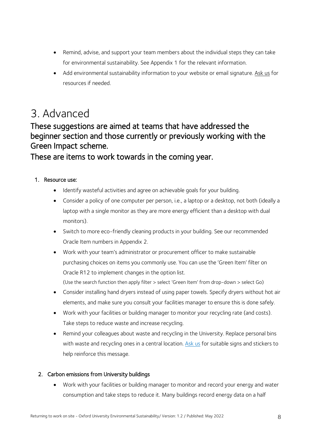- Remind, advise, and support your team members about the individual steps they can take for environmental sustainability. See Appendix 1 for the relevant information.
- Add environmental sustainability information to your website or email signature[. Ask us](mailto:sustainability@admin.ox.ac.uk?subject=Resources) for resources if needed.

# <span id="page-7-0"></span>3. Advanced

### These suggestions are aimed at teams that have addressed the beginner section and those currently or previously working with the Green Impact scheme.

These are items to work towards in the coming year.

### 1. Resource use:

- Identify wasteful activities and agree on achievable goals for your building.
- Consider a policy of one computer per person, i.e., a laptop or a desktop, not both (ideally a laptop with a single monitor as they are more energy efficient than a desktop with dual monitors).
- Switch to more eco-friendly cleaning products in your building. See our recommended Oracle Item numbers in Appendix 2.
- Work with your team's administrator or procurement officer to [make sustainable](https://sustainability.admin.ox.ac.uk/sustainable-purchasing)  [purchasing c](https://sustainability.admin.ox.ac.uk/sustainable-purchasing)hoices on items you commonly use. You can use the 'Green Item' filter on Oracle R12 to implement changes in the option list.

(Use the search function then apply filter > select 'Green Item' from drop-down > select Go)

- Consider installing hand dryers instead of using paper towels. Specify dryers without hot air elements, and make sure you consult your facilities manager to ensure this is done safely.
- Work with your facilities or building manager to monitor your recycling rate (and costs). Take steps to reduce waste and increase recycling.
- Remind your colleagues about waste and recycling in the University. Replace personal bins with waste and recycling ones in a central location[. Ask us](mailto:sustainability@admin.ox.ac.uk?subject=Waste%20and%20recycling%20signs) for suitable signs and stickers to help reinforce this message.

### 2. Carbon emissions from University buildings

 Work with your facilities or building manager to monitor and record your energy and water consumption and take steps to reduce it. Many buildings record energy data on a half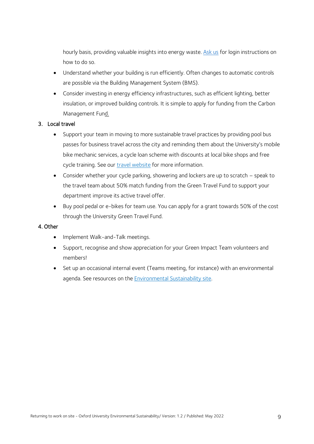hourly basis, providing valuable insights into energy waste. [Ask us](mailto:sustainability@admin.ox.ac.uk) for login instructions on how to do so.

- Understand whether your building is run efficiently. Often changes to automatic controls are possible via the Building Management System (BMS).
- Consider investing in energy efficiency infrastructures, such as efficient lighting, better insulation, or improved building controls. It is simple to apply for funding from the [Carbon](https://sustainability.admin.ox.ac.uk/funding)  [Management Fund.](https://sustainability.admin.ox.ac.uk/funding)

#### 3. Local travel

- Support your team in moving to more sustainable travel practices by providing pool bus passes for business travel across the city and reminding them about the University's mobile bike mechanic services, a cycle loan scheme with discounts at local bike shops and free cycle training. See our **travel website** for more information.
- Consider whether your cycle parking, showering and lockers are up to scratch speak to the travel team about 50% match funding from the Green Travel Fund to support your department improve its active travel offer.
- Buy pool pedal or e-bikes for team use. You can apply for a grant towards 50% of the cost through the University Green Travel Fund.

#### 4. Other

- Implement Walk-and-Talk meetings.
- Support, recognise and show appreciation for your Green Impact Team volunteers and members!
- Set up an occasional internal event (Teams meeting, for instance) with an environmental agenda. See resources on the **Environmental Sustainability site**.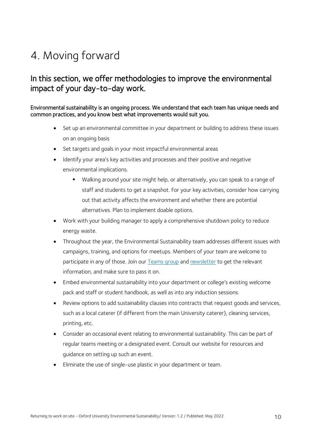# <span id="page-9-0"></span>4. Moving forward

### In this section, we offer methodologies to improve the environmental impact of your day-to-day work.

#### Environmental sustainability is an ongoing process. We understand that each team has unique needs and common practices, and you know best what improvements would suit you.

- Set up an environmental committee in your department or building to address these issues on an ongoing basis
- Set targets and goals in your most impactful environmental areas
- Identify your area's key activities and processes and their positive and negative environmental implications.
	- Walking around your site might help, or alternatively, you can speak to a range of staff and students to get a snapshot. For your key activities, consider how carrying out that activity affects the environment and whether there are potential alternatives. Plan to implement doable options.
- Work with your building manager to apply a comprehensive shutdown policy to reduce energy waste.
- Throughout the year, the Environmental Sustainability team addresses different issues with campaigns, training, and options for meetups. Members of your team are welcome to participate in any of those. Join our [Teams group](https://teams.microsoft.com/l/team/19%3aed07653a626e4305a88398085adeb9ce%40thread.tacv2/conversations?groupId=f70e69eb-093c-4f7c-b042-2678406d97aa&tenantId=cc95de1b-97f5-4f93-b4ba-fe68b852cf91) and [newsletter](mailto:envsust-subscribe@maillist.ox.ac.uk) to get the relevant information, and make sure to pass it on.
- Embed environmental sustainability into your department or college's existing welcome pack and staff or student handbook, as well as into any induction sessions.
- Review options to add sustainability clauses into contracts that request goods and services, such as a local caterer (if different from the main University caterer), cleaning services, printing, etc.
- Consider an occasional event relating to environmental sustainability. This can be part of regular teams meeting or a designated event. Consult our website for resources and guidance on setting up such an event.
- Eliminate the use of single-use plastic in your department or team.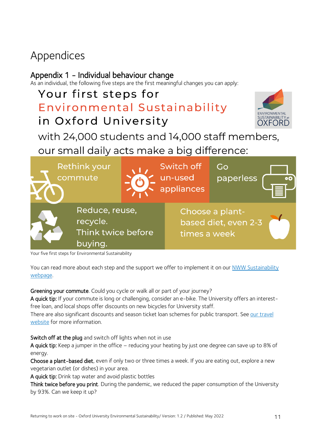# <span id="page-10-0"></span>Appendices

### <span id="page-10-1"></span>Appendix 1 - Individual behaviour change

As an individual, the following five steps are the first meaningful changes you can apply:

# Your first steps for Environmental Sustainability in Oxford University



## with 24,000 students and 14,000 staff members,

our small daily acts make a big difference:

| <b>Rethink your</b><br>commute                              | Switch off<br>un-used<br>appliances | Go<br>paperless                         |  |
|-------------------------------------------------------------|-------------------------------------|-----------------------------------------|--|
| Reduce, reuse,<br>recycle.<br>Think twice before<br>buying. | times a week                        | Choose a plant-<br>based diet, even 2-3 |  |

Your five first steps for Environmental Sustainability

You can read more about each step and the support we offer to implement it on our NWW Sustainability [webpage.](https://sustainability.admin.ox.ac.uk/new-ways-of-working-thinking-about-environmental-sustainability)

#### Greening your commute. Could you cycle or walk all or part of your journey?

A quick tip: If your commute is long or challenging, consider an e-bike. The University offers an interestfree loan, and local shops offer discounts on new bicycles for University staff.

There are also significant discounts and season ticket loan schemes for public transport. See our travel [website](https://travel.admin.ox.ac.uk/#/) for more information.

Switch off at the plug and switch off lights when not in use

A quick tip: Keep a jumper in the office – reducing your heating by just one degree can save up to 8% of energy.

Choose a plant-based diet, even if only two or three times a week. If you are eating out, explore a new vegetarian outlet (or dishes) in your area.

A quick tip: Drink tap water and avoid plastic bottles

Think twice before you print. During the pandemic, we reduced the paper consumption of the University by 93%. Can we keep it up?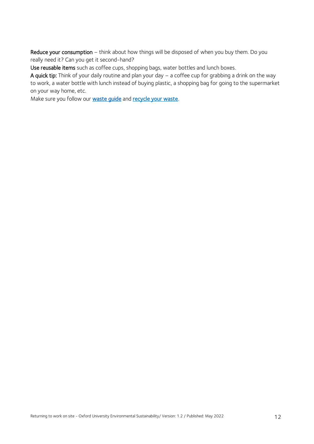Reduce your consumption – think about how things will be disposed of when you buy them. Do you really need it? Can you get it second-hand?

Use reusable items such as coffee cups, shopping bags, water bottles and lunch boxes.

A quick tip: Think of your daily routine and plan your day – a coffee cup for grabbing a drink on the way to work, a water bottle with lunch instead of buying plastic, a shopping bag for going to the supermarket on your way home, etc.

Make sure you follow our waste quide and recycle your waste.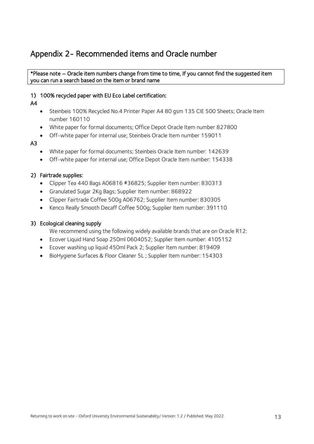### <span id="page-12-0"></span>Appendix 2- Recommended items and Oracle number

#### \*Please note – Oracle item numbers change from time to time, If you cannot find the suggested item you can run a search based on the item or brand name

#### 1) 100% recycled paper with EU Eco Label certification:

#### A4

- Steinbeis 100% Recycled No.4 Printer Paper A4 80 gsm 135 CIE 500 Sheets; Oracle Item number 160110
- White paper for formal documents; Office Depot Oracle Item number 827800
- Off-white paper for internal use; Steinbeis Oracle Item number 159011

#### A3

- White paper for formal documents; Steinbeis Oracle Item number: 142639
- Off-white paper for internal use; Office Depot Oracle Item number: 154338

#### 2) Fairtrade supplies:

- Clipper Tea 440 Bags A06816 #36825; Supplier Item number: 830313
- Granulated Sugar 2Kg Bags; Supplier Item number: 868922
- Clipper Fairtrade Coffee 500g A06762; Supplier Item number: 830305
- Kenco Really Smooth Decaff Coffee 500g; Supplier Item number: 391110

#### 3) Ecological cleaning supply

We recommend using the following widely available brands that are on Oracle R12:

- Ecover Liquid Hand Soap 250ml 0604052; Supplier Item number: 4105152
- Ecover washing up liquid 450ml Pack 2; Supplier Item number: 819409
- BioHygiene Surfaces & Floor Cleaner 5L ; Supplier Item number: 154303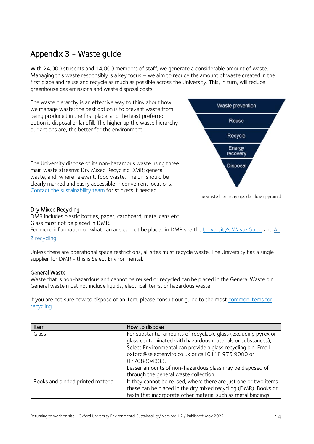### <span id="page-13-0"></span>Appendix 3 - Waste guide

With 24,000 students and 14,000 members of staff, we generate a considerable amount of waste. Managing this waste responsibly is a key focus – we aim to reduce the amount of waste created in the first place and reuse and recycle as much as possible across the University. This, in turn, will reduce greenhouse gas emissions and waste disposal costs.

The waste hierarchy is an effective way to think about how we manage waste: the best option is to prevent waste from being produced in the first place, and the least preferred option is disposal or landfill. The higher up the waste hierarchy our actions are, the better for the environment.

The University dispose of its non-hazardous waste using three main waste streams: Dry Mixed Recycling DMR; general waste; and, where relevant, food waste. The bin should be clearly marked and easily accessible in convenient locations. [Contact the sustainability team](mailto:%20sustainability@admin.ox.ac.uk) for stickers if needed.



The waste hierarchy upside-down pyramid

#### Dry Mixed Recycling

DMR includes plastic bottles, paper, cardboard, metal cans etc. Glass must not be placed in DMR.

For more information on what can and cannot be placed in DMR see the [University's Waste Guide](https://sustainability.web.ox.ac.uk/files/wasteguide.pdf) and [A-](https://sustainability.web.ox.ac.uk/a-z-of-recycling)[Z recycling.](https://sustainability.web.ox.ac.uk/a-z-of-recycling)

Unless there are operational space restrictions, all sites must recycle waste. The University has a single supplier for DMR - this is Select Environmental.

#### General Waste

Waste that is non-hazardous and cannot be reused or recycled can be placed in the General Waste bin. General waste must not include liquids, electrical items, or hazardous waste.

If you are not sure how to dispose of an item, please consult our guide to the most common items for [recycling.](https://sustainability.admin.ox.ac.uk/a-z-of-recycling)

| Item                              | How to dispose                                                  |
|-----------------------------------|-----------------------------------------------------------------|
| Glass                             | For substantial amounts of recyclable glass (excluding pyrex or |
|                                   | glass contaminated with hazardous materials or substances),     |
|                                   | Select Environmental can provide a glass recycling bin. Email   |
|                                   | oxford@selectenviro.co.uk or call 0118 975 9000 or              |
|                                   | 07708804333.                                                    |
|                                   | Lesser amounts of non-hazardous glass may be disposed of        |
|                                   | through the general waste collection.                           |
| Books and binded printed material | If they cannot be reused, where there are just one or two items |
|                                   | these can be placed in the dry mixed recycling (DMR). Books or  |
|                                   | texts that incorporate other material such as metal bindings    |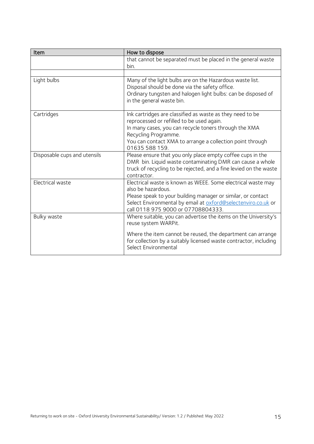| Item                         | How to dispose                                                                                                                                                                                                                                                         |  |  |
|------------------------------|------------------------------------------------------------------------------------------------------------------------------------------------------------------------------------------------------------------------------------------------------------------------|--|--|
|                              | that cannot be separated must be placed in the general waste<br>bin.                                                                                                                                                                                                   |  |  |
|                              |                                                                                                                                                                                                                                                                        |  |  |
| Light bulbs                  | Many of the light bulbs are on the Hazardous waste list.<br>Disposal should be done via the safety office.<br>Ordinary tungsten and halogen light bulbs: can be disposed of<br>in the general waste bin.                                                               |  |  |
| Cartridges                   | Ink cartridges are classified as waste as they need to be<br>reprocessed or refilled to be used again.<br>In many cases, you can recycle toners through the XMA<br>Recycling Programme.<br>You can contact XMA to arrange a collection point through<br>01635 588 159. |  |  |
| Disposable cups and utensils | Please ensure that you only place empty coffee cups in the<br>DMR bin. Liquid waste contaminating DMR can cause a whole<br>truck of recycling to be rejected, and a fine levied on the waste<br>contractor.                                                            |  |  |
| Electrical waste             | Electrical waste is known as WEEE. Some electrical waste may<br>also be hazardous.<br>Please speak to your building manager or similar, or contact<br>Select Environmental by email at oxford@selectenviro.co.uk or<br>call 0118 975 9000 or 07708804333.              |  |  |
| Bulky waste                  | Where suitable, you can advertise the items on the University's<br>reuse system WARPit.<br>Where the item cannot be reused, the department can arrange<br>for collection by a suitably licensed waste contractor, including<br>Select Environmental                    |  |  |